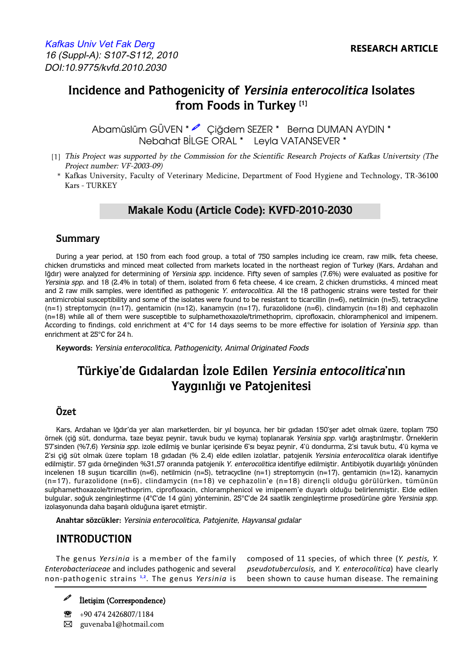# **Incidence and Pathogenicity of Yersinia enterocolitica Isolates from Foods in Turkey [1]**

 Nebahat BİLGE ORAL \* Leyla VATANSEVER \* Abamüslüm GÜVEN \* e Ciădem SEZER \* Berna DUMAN AYDIN \*

- [1] This Project was supported by the Commission for the Scientific Research Projects of Kafkas Univertsity (The Project number: VF-2003-09)
	- \* Kafkas University, Faculty of Veterinary Medicine, Department of Food Hygiene and Technology, TR-36100 Kars - TURKEY

## **Makale Kodu (Article Code): KVFD-2010-2030**

### **Summary**

During a year period, at 150 from each food group, a total of 750 samples including ice cream, raw milk, feta cheese, chicken drumsticks and minced meat collected from markets located in the northeast region of Turkey (Kars, Ardahan and Iğdır) were analyzed for determining of Yersinia spp. incidence. Fifty seven of samples (7.6%) were evaluated as positive for Yersinia spp. and 18 (2.4% in total) of them, isolated from 6 feta cheese, 4 ice cream, 2 chicken drumsticks, 4 minced meat and 2 raw milk samples, were identified as pathogenic Y. enterocolitica. All the 18 pathogenic strains were tested for their antimicrobial susceptibility and some of the isolates were found to be resistant to ticarcillin (n=6), netilmicin (n=5), tetracycline (n=1) streptomycin (n=17), gentamicin (n=12), kanamycin (n=17), furazolidone (n=6), clindamycin (n=18) and cephazolin (n=18) while all of them were susceptible to sulphamethoxazole/trimethoprim, ciprofloxacin, chloramphenicol and imipenem. According to findings, cold enrichment at 4°C for 14 days seems to be more effective for isolation of Yersinia spp. than enrichment at 25°C for 24 h.

**Keywords:** Yersinia enterocolitica, Pathogenicity, Animal Originated Foods

# **Türkiye'de Gıdalardan İzole Edilen Yersinia entocolitica'nın Yaygınlığı ve Patojenitesi**

### **Özet**

Kars, Ardahan ve Iğdır'da yer alan marketlerden, bir yıl boyunca, her bir gıdadan 150'şer adet olmak üzere, toplam 750 örnek (çiğ süt, dondurma, taze beyaz peynir, tavuk budu ve kıyma) toplanarak Yersinia spp. varlığı araştırılmıştır. Örneklerin 57'sinden (%7,6) Yersinia spp. izole edilmiş ve bunlar içerisinde 6'sı beyaz peynir, 4'ü dondurma, 2'si tavuk butu, 4'ü kıyma ve 2'si çiğ süt olmak üzere toplam 18 gıdadan (% 2,4) elde edilen izolatlar, patojenik Yersinia enterocolitica olarak identifiye edilmiştir. 57 gıda örneğinden %31,57 oranında patojenik Y. enterocolitica identifiye edilmiştir. Antibiyotik duyarlılığı yönünden incelenen 18 suşun ticarcillin (n=6), netilmicin (n=5), tetracycline (n=1) streptomycin (n=17), gentamicin (n=12), kanamycin (n=17), furazolidone (n=6), clindamycin (n=18) ve cephazolin'e (n=18) dirençli olduğu görülürken, tümünün sulphamethoxazole/trimethoprim, ciprofloxacin, chloramphenicol ve imipenem'e duyarlı olduğu belirlenmiştir. Elde edilen bulgular, soğuk zenginleştirme (4°C'de 14 gün) yönteminin, 25°C'de 24 saatlik zenginleştirme prosedürüne göre Yersinia spp. izolasyonunda daha başarılı olduğuna işaret etmiştir.

**Anahtar sözcükler:** Yersinia enterocolitica, Patojenite, Hayvansal gıdalar

# **INTRODUCTION**

The genus *Yersinia* is a member of the family composed of 11 species, of which three (*Y. pestis, Y.* 

*Enterobacteriaceae* and includes pathogenic and several *pseudotuberculosis,* and *Y. enterocolitica*) have clearly non-pathogenic strains **[1,2](#page-4-0)**. The genus *Yersinia* is been shown to cause human disease. The remaining

- İletişim (Correspondence)

 $\circledR$  +90 474 2426807/1184 � guvenaba1@hotmail.com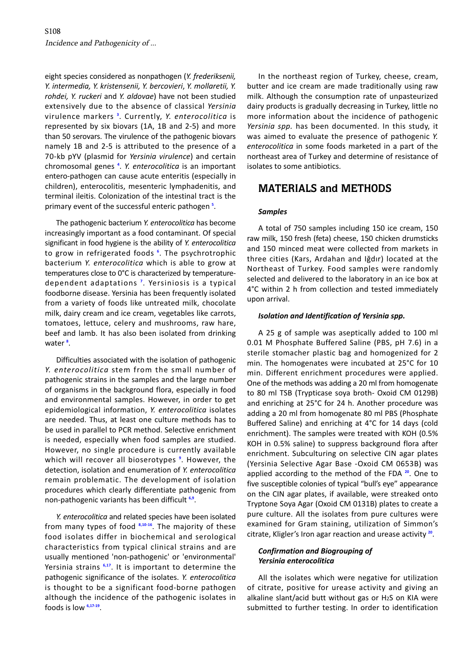<span id="page-1-0"></span>eight species considered as nonpathogen (*Y. frederiksenii, Y. intermedia, Y. kristensenii, Y. bercovieri*, *Y. mollaretii, Y. rohdei, Y. ruckeri* and *Y. aldovae*) have not been studied extensively due to the absence of classical *Yersinia*  virulence markers **[3](#page-4-0)** . Currently, *Y. enterocolitica* is represented by six biovars (1A, 1B and 2-5) and more than 50 serovars. The virulence of the pathogenic biovars namely 1B and 2-5 is attributed to the presence of a 70-kb pYV (plasmid for *Yersinia virulence*) and certain chromosomal genes **[4](#page-4-0)** . *Y. enterocolitica* is an important entero-pathogen can cause acute enteritis (especially in children), enterocolitis, mesenteric lymphadenitis, and terminal ileitis. Colonization of the intestinal tract is the primary event of the successful enteric pathogen **[5](#page-4-0)** .

The pathogenic bacterium *Y. enterocolitica* has become increasingly important as a food contaminant. Of special significant in food hygiene is the ability of *Y. enterocolitica*  to grow in refrigerated foods **[6](#page-4-0)** . The psychrotrophic bacterium *Y. enterocolitica* which is able to grow at temperatures close to 0°C is characterized by temperaturedependent adaptations **[7](#page-4-0)** . Yersiniosis is a typical foodborne disease. Yersinia has been frequently isolated from a variety of foods like untreated milk, chocolate milk, dairy cream and ice cream, vegetables like carrots, tomatoes, lettuce, celery and mushrooms, raw hare, beef and lamb. It has also been isolated from drinking water **[8](#page-4-0)** .

Difficulties associated with the isolation of pathogenic *Y. enterocolitica* stem from the small number of pathogenic strains in the samples and the large number of organisms in the background flora, especially in food and environmental samples. However, in order to get epidemiological information, *Y. enterocolitica* isolates are needed. Thus, at least one culture methods has to be used in parallel to PCR method. Selective enrichment is needed, especially when food samples are studied. However, no single procedure is currently available which will recover all bioserotypes **[9](#page-4-0)** . However, the detection, isolation and enumeration of *Y. enterocolitica*  remain problematic. The development of isolation procedures which clearly differentiate pathogenic from non-pathogenic variants has been difficult **[6,9](#page-4-0)**.

*Y. enterocolitica* and related species have been isolated from many types of food **[8,10-16](#page-4-0)**. The majority of these food isolates differ in biochemical and serological characteristics from typical clinical strains and are usually mentioned 'non-pathogenic' or 'environmental' Yersinia strains **[6,17](#page-4-0)**. It is important to determine the pathogenic significance of the isolates. *Y. enterocolitica*  is thought to be a significant food-borne pathogen although the incidence of the pathogenic isolates in foods is low **[6,17-19](#page-4-0)**.

In the northeast region of Turkey, cheese, cream, butter and ice cream are made traditionally using raw milk. Although the consumption rate of unpasteurized dairy products is gradually decreasing in Turkey, little no more information about the incidence of pathogenic *Yersinia spp.* has been documented. In this study, it was aimed to evaluate the presence of pathogenic *Y. enterocolitica* in some foods marketed in a part of the northeast area of Turkey and determine of resistance of isolates to some antibiotics.

## **MATERIALS and METHODS**

#### *Samples*

A total of 750 samples including 150 ice cream, 150 raw milk, 150 fresh (feta) cheese, 150 chicken drumsticks and 150 minced meat were collected from markets in three cities (Kars, Ardahan and Iğdır) located at the Northeast of Turkey. Food samples were randomly selected and delivered to the laboratory in an ice box at 4°C within 2 h from collection and tested immediately upon arrival.

#### *Isolation and Identification of Yersinia spp.*

A 25 g of sample was aseptically added to 100 ml 0.01 M Phosphate Buffered Saline (PBS, pH 7.6) in a sterile stomacher plastic bag and homogenized for 2 min. The homogenates were incubated at 25°C for 10 min. Different enrichment procedures were applied. One of the methods was adding a 20 ml from homogenate to 80 ml TSB (Trypticase soya broth- Oxoid CM 0129B) and enriching at 25°C for 24 h. Another procedure was adding a 20 ml from homogenate 80 ml PBS (Phosphate Buffered Saline) and enriching at 4°C for 14 days (cold enrichment). The samples were treated with KOH (0.5% KOH in 0.5% saline) to suppress background flora after enrichment. Subculturing on selective CIN agar plates (Yersinia Selective Agar Base -Oxoid CM 0653B) was applied according to the method of the FDA **[20](#page-4-0)**. One to five susceptible colonies of typical "bull's eye" appearance on the CIN agar plates, if available, were streaked onto Tryptone Soya Agar (Oxoid CM 0131B) plates to create a pure culture. All the isolates from pure cultures were examined for Gram staining, utilization of Simmon's citrate, Kligler's Iron agar reaction and urease activity **[20](#page-4-0)**.

#### *Confirmation and Biogrouping of Yersinia enterocolitica*

All the isolates which were negative for utilization of citrate, positive for urease activity and giving an alkaline slant/acid butt without gas or H2S on KIA were submitted to further testing. In order to identification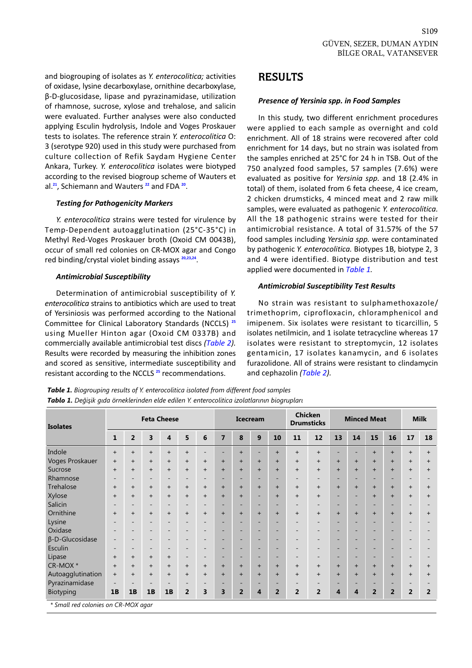and biogrouping of isolates as *Y. enterocolitica;* activities of oxidase, lysine decarboxylase, ornithine decarboxylase, β-D-glucosidase, lipase and pyrazinamidase, utilization of rhamnose, sucrose, xylose and trehalose, and salicin were evaluated. Further analyses were also conducted applying Esculin hydrolysis, Indole and Voges Proskauer tests to isolates. The reference strain *Y. enterocolitica* O: 3 (serotype 920) used in this study were purchased from culture collection of Refik Saydam Hygiene Center Ankara, Turkey. *Y. enterocolitica* isolates were biotyped according to the revised biogroup scheme of Wauters et al.**[21](#page-4-0)**, Schiemann and Wauters **[22](#page-5-0)** and FDA **[20](#page-4-0)**.

#### *Testing for Pathogenicity Markers*

*Y. enterocolitica* strains were tested for virulence by Temp-Dependent autoagglutination (25°C-35°C) in Methyl Red-Voges Proskauer broth (Oxoid CM 0043B), occur of small red colonies on CR-MOX agar and Congo red binding/crystal violet binding assays **[20,23,24](#page-4-0)**.

#### *Antimicrobial Susceptibility*

Determination of antimicrobial susceptibility of *Y. enterocolitica* strains to antibiotics which are used to treat of Yersiniosis was performed according to the National Committee for Clinical Laboratory Standards (NCCLS) **[25](#page-4-0)** using Mueller Hinton agar (Oxoid CM 0337B) and commercially available antimicrobial test discs *(Table 2).*  Results were recorded by measuring the inhibition zones and scored as sensitive, intermediate susceptibility and resistant according to the NCCLS **[25](#page-4-0)** recommendations.

### **RESULTS**

#### *Presence of Yersinia spp. in Food Samples*

In this study, two different enrichment procedures were applied to each sample as overnight and cold enrichment. All of 18 strains were recovered after cold enrichment for 14 days, but no strain was isolated from the samples enriched at 25°C for 24 h in TSB. Out of the 750 analyzed food samples, 57 samples (7.6%) were evaluated as positive for *Yersinia spp.* and 18 (2.4% in total) of them, isolated from 6 feta cheese, 4 ice cream, 2 chicken drumsticks, 4 minced meat and 2 raw milk samples, were evaluated as pathogenic *Y. enterocolitica.*  All the 18 pathogenic strains were tested for their antimicrobial resistance. A total of 31.57% of the 57 food samples including *Yersinia spp.* were contaminated by pathogenic *Y. enterocolitica.* Biotypes 1B, biotype 2, 3 and 4 were identified. Biotype distribution and test applied were documented in *Table 1.* 

#### *Antimicrobial Susceptibility Test Results*

No strain was resistant to sulphamethoxazole/ trimethoprim, ciprofloxacin, chloramphenicol and imipenem. Six isolates were resistant to ticarcillin, 5 isolates netilmicin, and 1 isolate tetracycline whereas 17 isolates were resistant to streptomycin, 12 isolates gentamicin, 17 isolates kanamycin, and 6 isolates furazolidone. All of strains were resistant to clindamycin and cephazolin *[\(Table 2](#page-3-0)).* 

| <b>Isolates</b>        | <b>Feta Cheese</b>       |                          |                          |                          |                          |                          | <b>Icecream</b> |                              |                              |                              | <b>Chicken</b><br><b>Drumsticks</b> |                          | <b>Minced Meat</b>       |                              |                              | <b>Milk</b>              |                          |                |
|------------------------|--------------------------|--------------------------|--------------------------|--------------------------|--------------------------|--------------------------|-----------------|------------------------------|------------------------------|------------------------------|-------------------------------------|--------------------------|--------------------------|------------------------------|------------------------------|--------------------------|--------------------------|----------------|
|                        | $\mathbf{1}$             | $\overline{2}$           | 3                        | $\overline{\mathbf{4}}$  | 5                        | 6                        | $\overline{7}$  | 8                            | 9                            | 10                           | 11                                  | 12                       | 13                       | 14                           | 15                           | 16                       | 17                       | 18             |
| Indole                 | $\ddot{}$                | $+$                      | $+$                      | $+$                      | $+$                      | $\overline{\phantom{a}}$ |                 | $+$                          |                              | $+$                          | $+$                                 | $+$                      | -                        | ٠                            | $+$                          | $+$                      | $+$                      | $\ddot{}$      |
| Voges Proskauer        | $^{+}$                   | $^{+}$                   | $^{+}$                   | $\ddot{}$                | $^{+}$                   | $\ddot{}$                | $+$             | $+$                          | $+$                          | $+$                          | $+$                                 | $^{+}$                   | $+$                      | $+$                          | $+$                          | $+$                      | $\ddot{}$                | $^{+}$         |
| Sucrose                | $\ddot{}$                | $^{+}$                   | $+$                      | $\ddot{}$                | $^{+}$                   | $\ddot{}$                | $+$             | $+$                          | $+$                          | $+$                          | $+$                                 | $+$                      | $+$                      | $+$                          | $+$                          | $+$                      | $+$                      | $\ddot{}$      |
| Rhamnose               | $\overline{\phantom{0}}$ | ۰                        | $\overline{\phantom{a}}$ | $\overline{\phantom{a}}$ | $\qquad \qquad -$        | -                        | -               | $\overline{\phantom{0}}$     |                              | $\qquad \qquad \blacksquare$ | $\qquad \qquad$                     | $\overline{\phantom{0}}$ | -                        | $\overline{\phantom{0}}$     |                              | $\overline{\phantom{0}}$ | $\overline{\phantom{0}}$ |                |
| Trehalose              | $^{+}$                   | $+$                      | $\ddot{}$                | $^{+}$                   | $^{+}$                   | $^{+}$                   | $+$             | $\ddot{}$                    | $+$                          | $+$                          | $^{+}$                              | $^{+}$                   | $+$                      | $+$                          | $+$                          | $+$                      | $\ddot{}$                | $^{+}$         |
| Xylose                 | $+$                      | $+$                      | $+$                      | $+$                      | $^{+}$                   | $+$                      | $+$             | $+$                          | $\qquad \qquad -$            | $+$                          | $+$                                 | $+$                      | ۰                        | $\overline{\phantom{a}}$     | $+$                          | $+$                      | $+$                      | $^{+}$         |
| Salicin                | $\qquad \qquad -$        | $\overline{\phantom{0}}$ | $\overline{\phantom{a}}$ | $\overline{\phantom{a}}$ | $\qquad \qquad -$        | $\overline{\phantom{a}}$ | -               | $\qquad \qquad \blacksquare$ | $\qquad \qquad \blacksquare$ | $\overline{\phantom{a}}$     | $\qquad \qquad$                     | $\overline{\phantom{a}}$ | ۰                        | $\qquad \qquad \blacksquare$ | $\overline{\phantom{0}}$     | -                        | $\overline{\phantom{a}}$ |                |
| Ornithine              | $^{+}$                   | $+$                      | $+$                      | $+$                      | $+$                      | $\ddot{}$                | $+$             | $+$                          | $+$                          | $+$                          | $+$                                 | $+$                      | $+$                      | $+$                          | $+$                          | $+$                      | $+$                      | $\ddot{}$      |
| Lysine                 |                          | $\overline{\phantom{0}}$ | $\overline{\phantom{0}}$ | $\overline{\phantom{a}}$ | $\overline{\phantom{a}}$ | $\overline{\phantom{0}}$ | -               | $\qquad \qquad -$            |                              | ۰                            | $\overline{\phantom{a}}$            | $\overline{\phantom{0}}$ | $\overline{\phantom{0}}$ | $\qquad \qquad -$            |                              | $\qquad \qquad -$        | $\overline{\phantom{0}}$ |                |
| Oxidase                | $\overline{\phantom{a}}$ | $\overline{\phantom{a}}$ | $\overline{\phantom{a}}$ | $\overline{\phantom{a}}$ | $\overline{\phantom{a}}$ | $\overline{\phantom{a}}$ | -               | $\qquad \qquad \blacksquare$ | $\qquad \qquad \blacksquare$ | $\qquad \qquad -$            | $\overline{\phantom{a}}$            | $\overline{\phantom{a}}$ | $\overline{\phantom{0}}$ | $\qquad \qquad -$            | $\qquad \qquad \blacksquare$ | $\overline{\phantom{0}}$ | $\overline{\phantom{a}}$ |                |
| $\beta$ -D-Glucosidase | $\overline{\phantom{a}}$ | $\overline{\phantom{0}}$ | $\overline{\phantom{a}}$ | $\qquad \qquad$          | $\overline{\phantom{a}}$ | $\overline{\phantom{a}}$ |                 | $\qquad \qquad -$            | $\qquad \qquad -$            | $\qquad \qquad -$            | $\overline{\phantom{a}}$            | $\overline{\phantom{a}}$ | ۰                        | $\qquad \qquad -$            | $\overline{\phantom{a}}$     | $\overline{\phantom{0}}$ | $\overline{\phantom{0}}$ |                |
| Esculin                | $\overline{\phantom{a}}$ | $\overline{\phantom{0}}$ | $\overline{\phantom{a}}$ | $\overline{\phantom{a}}$ | $\overline{\phantom{0}}$ | $\overline{\phantom{a}}$ | -               | $\qquad \qquad \blacksquare$ | $\qquad \qquad \blacksquare$ | $\qquad \qquad \blacksquare$ | $\overline{\phantom{0}}$            | $\overline{\phantom{a}}$ | -                        | $\qquad \qquad \blacksquare$ |                              | $\qquad \qquad -$        | $\overline{\phantom{a}}$ |                |
| Lipase                 | $^{+}$                   | $+$                      | $+$                      | $+$                      | $\overline{\phantom{0}}$ | $\overline{\phantom{a}}$ |                 | $\overline{\phantom{0}}$     |                              | -                            | $\overline{\phantom{0}}$            | $\overline{\phantom{0}}$ | $\overline{\phantom{0}}$ |                              |                              | -                        | $\overline{\phantom{0}}$ |                |
| CR-MOX *               | $^{+}$                   | $+$                      | $\ddot{}$                | $^{+}$                   | $^{+}$                   | $^{+}$                   | $+$             | $+$                          | $+$                          | $+$                          | $\ddot{}$                           | $^{+}$                   | $+$                      | $+$                          | $+$                          | $+$                      | $\ddot{}$                | $^{+}$         |
| Autoagglutination      | $+$                      | $+$                      | $+$                      | $+$                      | $+$                      | $\ddot{}$                | $+$             | $+$                          | $+$                          | $+$                          | $+$                                 | $+$                      | $+$                      | $+$                          | $+$                          | $+$                      | $+$                      | $^{+}$         |
| Pyrazinamidase         |                          |                          | $\overline{\phantom{a}}$ |                          |                          | $\qquad \qquad -$        |                 |                              |                              | $\qquad \qquad \blacksquare$ |                                     | $\overline{\phantom{a}}$ |                          |                              |                              | $\overline{\phantom{0}}$ |                          |                |
| Biotyping              | 1B                       | 1B                       | 1B                       | 1B                       | $\overline{2}$           | 3                        | 3               | $\overline{2}$               | 4                            | $\overline{2}$               | $\overline{2}$                      | $\overline{2}$           | 4                        | $\overline{4}$               | $\overline{2}$               | $\overline{2}$           | $\overline{2}$           | $\overline{2}$ |

*Table 1. Biogrouping results of Y. enterocolitica isolated from different food samples Tablo 1. Değişik gıda örneklerinden elde edilen Y. enterocolitica izolatlarının biogrupları*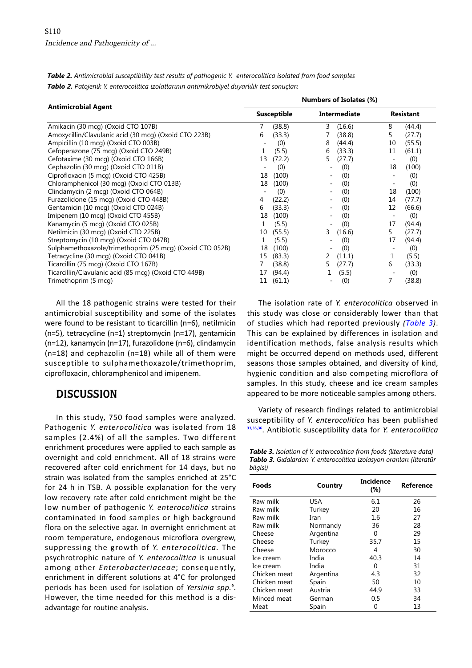|                                                          |    | Numbers of Isolates (%) |                          |                     |    |                  |  |  |  |
|----------------------------------------------------------|----|-------------------------|--------------------------|---------------------|----|------------------|--|--|--|
| <b>Antimicrobial Agent</b>                               |    | <b>Susceptible</b>      |                          | <b>Intermediate</b> |    | <b>Resistant</b> |  |  |  |
| Amikacin (30 mcg) (Oxoid CTO 107B)                       | 7  | (38.8)                  | 3                        | (16.6)              | 8  | (44.4)           |  |  |  |
| Amoxycillin/Clavulanic acid (30 mcg) (Oxoid CTO 223B)    | 6  | (33.3)                  |                          | (38.8)              | 5  | (27.7)           |  |  |  |
| Ampicillin (10 mcg) (Oxoid CTO 003B)                     |    | (0)                     | 8                        | (44.4)              | 10 | (55.5)           |  |  |  |
| Cefoperazone (75 mcg) (Oxoid CTO 249B)                   | 1  | (5.5)                   | 6                        | (33.3)              | 11 | (61.1)           |  |  |  |
| Cefotaxime (30 mcg) (Oxoid CTO 166B)                     | 13 | (72.2)                  | 5                        | (27.7)              |    | (0)              |  |  |  |
| Cephazolin (30 mcg) (Oxoid CTO 011B)                     |    | (0)                     |                          | (0)                 | 18 | (100)            |  |  |  |
| Ciprofloxacin (5 mcg) (Oxoid CTO 425B)                   | 18 | (100)                   |                          | (0)                 |    | (0)              |  |  |  |
| Chloramphenicol (30 mcg) (Oxoid CTO 013B)                | 18 | (100)                   |                          | (0)                 |    | (0)              |  |  |  |
| Clindamycin (2 mcg) (Oxoid CTO 064B)                     |    | (0)                     |                          | (0)                 | 18 | (100)            |  |  |  |
| Furazolidone (15 mcg) (Oxoid CTO 448B)                   | 4  | (22.2)                  |                          | (0)                 | 14 | (77.7)           |  |  |  |
| Gentamicin (10 mcg) (Oxoid CTO 024B)                     | 6  | (33.3)                  | $\overline{\phantom{a}}$ | (0)                 | 12 | (66.6)           |  |  |  |
| Imipenem (10 mcg) (Oxoid CTO 455B)                       | 18 | (100)                   |                          | (0)                 |    | (0)              |  |  |  |
| Kanamycin (5 mcg) (Oxoid CTO 025B)                       |    | (5.5)                   |                          | (0)                 | 17 | (94.4)           |  |  |  |
| Netilmicin (30 mcg) (Oxoid CTO 225B)                     | 10 | (55.5)                  | 3                        | (16.6)              | 5. | (27.7)           |  |  |  |
| Streptomycin (10 mcg) (Oxoid CTO 047B)                   |    | (5.5)                   |                          | (0)                 | 17 | (94.4)           |  |  |  |
| Sulphamethoxazole/trimethoprim (25 mcg) (Oxoid CTO 052B) | 18 | (100)                   |                          | (0)                 |    | (0)              |  |  |  |
| Tetracycline (30 mcg) (Oxoid CTO 041B)                   | 15 | (83.3)                  | 2                        | (11.1)              | 1  | (5.5)            |  |  |  |
| Ticarcillin (75 mcg) (Oxoid CTO 167B)                    |    | (38.8)                  | 5                        | (27.7)              | 6  | (33.3)           |  |  |  |
| Ticarcillin/Clavulanic acid (85 mcg) (Oxoid CTO 449B)    | 17 | (94.4)                  |                          | (5.5)               |    | (0)              |  |  |  |
| Trimethoprim (5 mcg)                                     | 11 | (61.1)                  |                          | (0)                 | 7  | (38.8)           |  |  |  |

<span id="page-3-0"></span>*Table 2. Antimicrobial susceptibility test results of pathogenic Y. enterocolitica isolated from food samples Tablo 2. Patojenik Y. enterocolitica izolatlarının antimikrobiyel duyarlılık test sonuçları* 

All the 18 pathogenic strains were tested for their antimicrobial susceptibility and some of the isolates were found to be resistant to ticarcillin (n=6), netilmicin (n=5), tetracycline (n=1) streptomycin (n=17), gentamicin (n=12), kanamycin (n=17), furazolidone (n=6), clindamycin (n=18) and cephazolin (n=18) while all of them were susceptible to sulphamethoxazole/trimethoprim, ciprofloxacin, chloramphenicol and imipenem.

# **DISCUSSION**

In this study, 750 food samples were analyzed. Pathogenic *Y. enterocolitica* was isolated from 18 samples (2.4%) of all the samples. Two different enrichment procedures were applied to each sample as overnight and cold enrichment. All of 18 strains were recovered after cold enrichment for 14 days, but no strain was isolated from the samples enriched at 25°C for 24 h in TSB. A possible explanation for the very low recovery rate after cold enrichment might be the low number of pathogenic *Y. enterocolitica* strains contaminated in food samples or high background flora on the selective agar. In overnight enrichment at room temperature, endogenous microflora overgrew, suppressing the growth of *Y. enterocolitica.* The psychrotrophic nature of *Y. enterocolitica* is unusual among other *Enterobacteriaceae*; consequently, enrichment in different solutions at 4°C for prolonged periods has been used for isolation of *Yersinia spp.*<sup>9</sup>. However, the time needed for this method is a disadvantage for routine analysis.

The isolation rate of *Y. enterocolitica* observed in this study was close or considerably lower than that of studies which had reported previously *(Table 3)*. This can be explained by differences in isolation and identification methods, false analysis results which might be occurred depend on methods used, different seasons those samples obtained, and diversity of kind, hygienic condition and also competing microflora of samples. In this study, cheese and ice cream samples appeared to be more noticeable samples among others.

Variety of research findings related to antimicrobial susceptibility of *Y. enterocolitica* has been published **[33,35,36](#page-5-0)**. Antibiotic susceptibility data for *Y. enterocolitica* 

*Table 3. Isolation of Y. enterocolitica from foods (literature data) Tablo 3. Gıdalardan Y. enterocolitica izolasyon oranları (literatür bilgisi)* 

| <b>Foods</b> | Country   | Incidence<br>$(\%)$ | Reference |  |  |
|--------------|-----------|---------------------|-----------|--|--|
| Raw milk     | USA       | 6.1                 | 26        |  |  |
| Raw milk     | Turkey    | 20                  | 16        |  |  |
| Raw milk     | Iran      | 1.6                 | 27        |  |  |
| Raw milk     | Normandy  | 36                  | 28        |  |  |
| Cheese       | Argentina | 0                   | 29        |  |  |
| Cheese       | Turkey    | 35.7                | 15        |  |  |
| Cheese       | Morocco   | 4                   | 30        |  |  |
| Ice cream    | India     | 40.3                | 14        |  |  |
| Ice cream    | India     | 0                   | 31        |  |  |
| Chicken meat | Argentina | 4.3                 | 32        |  |  |
| Chicken meat | Spain     | 50                  | 10        |  |  |
| Chicken meat | Austria   | 44.9                | 33        |  |  |
| Minced meat  | German    | 0.5                 | 34        |  |  |
| Meat         | Spain     | 0                   | 13        |  |  |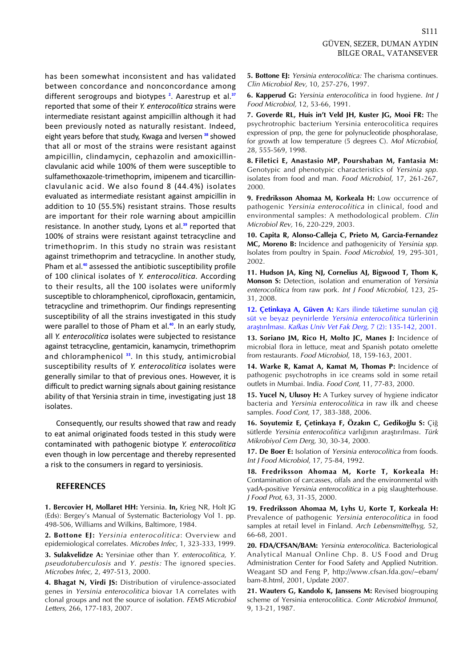<span id="page-4-0"></span>has been somewhat inconsistent and has validated between concordance and nonconcordance among different serogroups and biotypes **<sup>2</sup>** . Aarestrup et al.**[37](#page-5-0)** reported that some of their *Y. enterocolitica* strains were intermediate resistant against ampicillin although it had been previously noted as naturally resistant. Indeed, eight years before that study, Kwaga and Iversen **[38](#page-5-0)** showed that all or most of the strains were resistant against ampicillin, clindamycin, cephazolin and amoxicillinclavulanic acid while 100% of them were susceptible to sulfamethoxazole-trimethoprim, imipenem and ticarcillinclavulanic acid. We also found 8 (44.4%) isolates evaluated as intermediate resistant against ampicillin in addition to 10 (55.5%) resistant strains. Those results are important for their role warning about ampicillin resistance. In another study, Lyons et al.**[39](#page-5-0)** reported that 100% of strains were resistant against tetracycline and trimethoprim. In this study no strain was resistant against trimethoprim and tetracycline. In another study, Pham et al.**[40](#page-5-0)** assessed the antibiotic susceptibility profile of 100 clinical isolates of *Y. enterocolitica.* According to their results, all the 100 isolates were uniformly susceptible to chloramphenicol, ciprofloxacin, gentamicin, tetracycline and trimethoprim. Our findings representing susceptibility of all the strains investigated in this study were parallel to those of Pham et al.**<sup>40</sup>**. In an early study, all *Y. enterocolitica* isolates were subjected to resistance against tetracycline, gentamicin, kanamycin, trimethoprim and chloramphenicol **[33](#page-5-0)**. In this study, antimicrobial susceptibility results of *Y. enterocolitica* isolates were generally similar to that of previous ones. However, it is difficult to predict warning signals about gaining resistance ability of that Yersinia strain in time, investigating just 18 isolates.

Consequently, our results showed that raw and ready to eat animal originated foods tested in this study were contaminated with pathogenic biotype *Y. enterocolitica*  even though in low percentage and thereby represented a risk to the consumers in regard to yersiniosis.

#### **REFERENCES**

**1. Bercovier H, Mollaret HH:** Yersinia. **In,** Krieg NR, Holt JG (Eds): Bergey's Manual of Systematic Bacteriology Vol 1. pp. 498-506, Williams and Wilkins, Baltimore, 1984.

**2. Bottone EJ:** Yersinia enterocolitica: Overview and epidemiological correlates. Microbes Infec, 1, 323-333, 1999.

**3. Sulakvelidze A:** Yersiniae other than Y. enterocolitica, Y. pseudotuberculosis and Y. pestis: The ignored species. Microbes Infec, 2, 497-513, 2000.

**4. Bhagat N, Virdi JS:** Distribution of virulence-associated genes in *Yersinia enterocolitica* biovar 1A correlates with clonal groups and not the source of isolation. FEMS Microbiol Letters, 266, 177-183, 2007.

**5. Bottone EJ:** Yersinia enterocolitica: The charisma continues. Clin Microbiol Rev, 10, 257-276, 1997.

**6. Kapperud G:** Yersinia enterocolitica in food hygiene. Int J Food Microbiol, 12, 53-66, 1991.

**7. Goverde RL, Huis in't Veld JH, Kuster JG, Mooi FR:** The psychrotrophic bacterium Yersinia enterocolitica requires expression of pnp, the gene for polynucleotide phosphoralase, for growth at low temperature (5 degrees C). Mol Microbiol, 28, 555-569, 1998.

**8. Filetici E, Anastasio MP, Pourshaban M, Fantasia M:**  Genotypic and phenotypic characteristics of Yersinia spp. isolates from food and man. Food Microbiol, 17, 261-267, 2000.

**9. Fredriksson Ahomaa M, Korkeala H:** Low occurrence of pathogenic Yersinia enterocolitica in clinical, food and environmental samples: A methodological problem. Clin Microbiol Rev, 16, 220-229, 2003.

**10. Capita R, Alonso-Calleja C, Prieto M, Garcia-Fernandez MC, Moreno B:** Incidence and pathogenicity of Yersinia spp. Isolates from poultry in Spain. Food Microbiol, 19, 295-301, 2002.

**11. Hudson JA, King NJ, Cornelius AJ, Bigwood T, Thom K, Monson S:** Detection, isolation and enumeration of Yersinia enterocolitica from raw pork. Int J Food Microbiol, 123, 25-31, 2008.

**12. Çetinkaya A, Güven A:** [Kars ilinde tüketime sunulan çiğ](http://vetdergi.kafkas.edu.tr/extdocs/7_2/135_142.pdf)  süt ve beyaz peynirlerde Yersinia enterocolitica türlerinin araştırılması. Kafkas Univ Vet Fak Derg, 7 (2): 135-142, 2001.

**13. Soriano JM, Rico H, Molto JC, Manes J:** Incidence of microbial flora in lettuce, meat and Spanish potato omelette from restaurants. Food Microbiol, 18, 159-163, 2001.

**14. Warke R, Kamat A, Kamat M, Thomas P:** Incidence of pathogenic psychotrophs in ice creams sold in some retail outlets in Mumbai. India. Food Cont, 11, 77-83, 2000.

**15. Yucel N, Ulusoy H:** A Turkey survey of hygiene indicator bacteria and Yersinia enterocolitica in raw ilk and cheese samples. Food Cont, 17, 383-388, 2006.

**16. Soyutemiz E, Çetinkaya F, Özakın C, Gedikoğlu S:** Çiğ sütlerde Yersinia enterocolitica varlığının araştırılması. Türk Mikrobiyol Cem Derg, 30, 30-34, 2000.

**17. De Boer E:** Isolation of Yersinia enterocolitica from foods. Int J Food Microbiol, 17, 75-84, 1992.

**18. Fredriksson Ahomaa M, Korte T, Korkeala H:**  Contamination of carcasses, offals and the environmental with yadA-positive Yersinia enterocolitica in a pig slaughterhouse. J Food Prot, 63, 31-35, 2000.

**19. Fredriksson Ahomaa M, Lyhs U, Korte T, Korkeala H:**  Prevalence of pathogenic Yersinia enterocolitica in food samples at retail level in Finland. Arch Lebensmittelhyg, 52, 66-68, 2001.

**20. FDA/CFSAN/BAM:** Yersinia enterocolitica. Bacteriological Analytical Manual Online Chp. 8. US Food and Drug Administration Center for Food Safety and Applied Nutrition. Weagant SD and Feng P, http://www.cfsan.fda.gov/~ebam/ bam-8.html, 2001, Update 2007.

**21. Wauters G, Kandolo K, Janssens M:** Revised biogrouping scheme of Yersinia enterocolitica. Contr Microbiol Immunol, 9, 13-21, 1987.